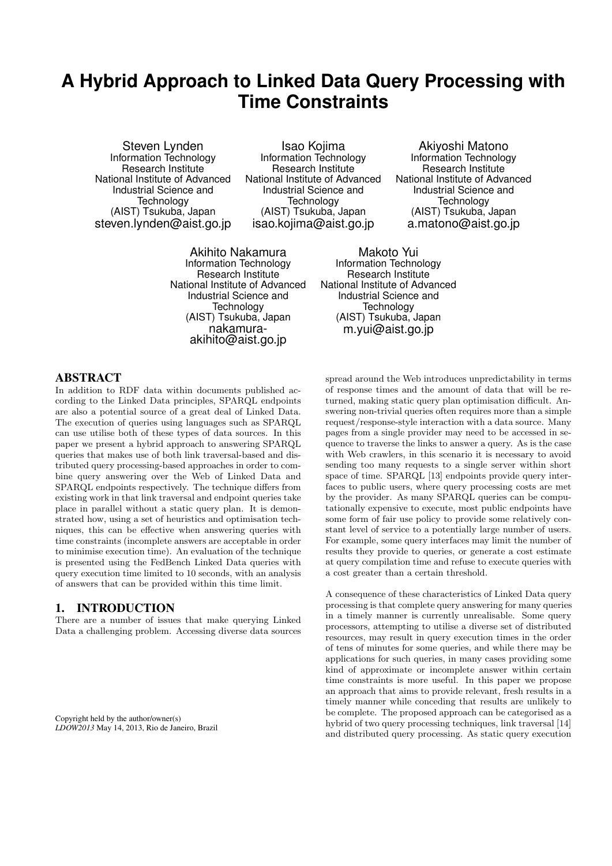# **A Hybrid Approach to Linked Data Query Processing with Time Constraints**

Steven Lynden Information Technology Research Institute National Institute of Advanced Industrial Science and **Technology** (AIST) Tsukuba, Japan steven.lynden@aist.go.jp

Isao Kojima Information Technology Research Institute National Institute of Advanced Industrial Science and **Technology** (AIST) Tsukuba, Japan isao.kojima@aist.go.jp

Akihito Nakamura Information Technology Research Institute National Institute of Advanced Industrial Science and **Technology** (AIST) Tsukuba, Japan nakamuraakihito@aist.go.jp

Akiyoshi Matono Information Technology Research Institute National Institute of Advanced Industrial Science and **Technology** (AIST) Tsukuba, Japan a.matono@aist.go.jp

Makoto Yui Information Technology Research Institute National Institute of Advanced Industrial Science and **Technology** (AIST) Tsukuba, Japan m.yui@aist.go.jp

### ABSTRACT

In addition to RDF data within documents published according to the Linked Data principles, SPARQL endpoints are also a potential source of a great deal of Linked Data. The execution of queries using languages such as SPARQL can use utilise both of these types of data sources. In this paper we present a hybrid approach to answering SPARQL queries that makes use of both link traversal-based and distributed query processing-based approaches in order to combine query answering over the Web of Linked Data and SPARQL endpoints respectively. The technique differs from existing work in that link traversal and endpoint queries take place in parallel without a static query plan. It is demonstrated how, using a set of heuristics and optimisation techniques, this can be effective when answering queries with time constraints (incomplete answers are acceptable in order to minimise execution time). An evaluation of the technique is presented using the FedBench Linked Data queries with query execution time limited to 10 seconds, with an analysis of answers that can be provided within this time limit.

### 1. INTRODUCTION

There are a number of issues that make querying Linked Data a challenging problem. Accessing diverse data sources

Copyright held by the author/owner(s) *LDOW2013* May 14, 2013, Rio de Janeiro, Brazil spread around the Web introduces unpredictability in terms of response times and the amount of data that will be returned, making static query plan optimisation difficult. Answering non-trivial queries often requires more than a simple request/response-style interaction with a data source. Many pages from a single provider may need to be accessed in sequence to traverse the links to answer a query. As is the case with Web crawlers, in this scenario it is necessary to avoid sending too many requests to a single server within short space of time. SPARQL [13] endpoints provide query interfaces to public users, where query processing costs are met by the provider. As many SPARQL queries can be computationally expensive to execute, most public endpoints have some form of fair use policy to provide some relatively constant level of service to a potentially large number of users. For example, some query interfaces may limit the number of results they provide to queries, or generate a cost estimate at query compilation time and refuse to execute queries with a cost greater than a certain threshold.

A consequence of these characteristics of Linked Data query processing is that complete query answering for many queries in a timely manner is currently unrealisable. Some query processors, attempting to utilise a diverse set of distributed resources, may result in query execution times in the order of tens of minutes for some queries, and while there may be applications for such queries, in many cases providing some kind of approximate or incomplete answer within certain time constraints is more useful. In this paper we propose an approach that aims to provide relevant, fresh results in a timely manner while conceding that results are unlikely to be complete. The proposed approach can be categorised as a hybrid of two query processing techniques, link traversal [14] and distributed query processing. As static query execution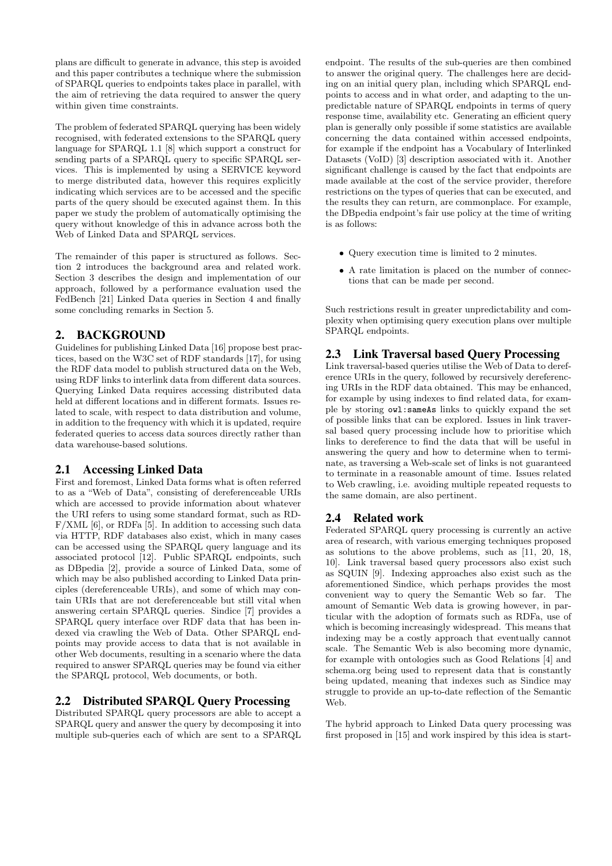plans are difficult to generate in advance, this step is avoided and this paper contributes a technique where the submission of SPARQL queries to endpoints takes place in parallel, with the aim of retrieving the data required to answer the query within given time constraints.

The problem of federated SPARQL querying has been widely recognised, with federated extensions to the SPARQL query language for SPARQL 1.1 [8] which support a construct for sending parts of a SPARQL query to specific SPARQL services. This is implemented by using a SERVICE keyword to merge distributed data, however this requires explicitly indicating which services are to be accessed and the specific parts of the query should be executed against them. In this paper we study the problem of automatically optimising the query without knowledge of this in advance across both the Web of Linked Data and SPARQL services.

The remainder of this paper is structured as follows. Section 2 introduces the background area and related work. Section 3 describes the design and implementation of our approach, followed by a performance evaluation used the FedBench [21] Linked Data queries in Section 4 and finally some concluding remarks in Section 5.

# 2. BACKGROUND

Guidelines for publishing Linked Data [16] propose best practices, based on the W3C set of RDF standards [17], for using the RDF data model to publish structured data on the Web, using RDF links to interlink data from different data sources. Querying Linked Data requires accessing distributed data held at different locations and in different formats. Issues related to scale, with respect to data distribution and volume, in addition to the frequency with which it is updated, require federated queries to access data sources directly rather than data warehouse-based solutions.

# 2.1 Accessing Linked Data

First and foremost, Linked Data forms what is often referred to as a "Web of Data", consisting of dereferenceable URIs which are accessed to provide information about whatever the URI refers to using some standard format, such as RD-F/XML [6], or RDFa [5]. In addition to accessing such data via HTTP, RDF databases also exist, which in many cases can be accessed using the SPARQL query language and its associated protocol [12]. Public SPARQL endpoints, such as DBpedia [2], provide a source of Linked Data, some of which may be also published according to Linked Data principles (dereferenceable URIs), and some of which may contain URIs that are not dereferenceable but still vital when answering certain SPARQL queries. Sindice [7] provides a SPARQL query interface over RDF data that has been indexed via crawling the Web of Data. Other SPARQL endpoints may provide access to data that is not available in other Web documents, resulting in a scenario where the data required to answer SPARQL queries may be found via either the SPARQL protocol, Web documents, or both.

# 2.2 Distributed SPARQL Query Processing

Distributed SPARQL query processors are able to accept a SPARQL query and answer the query by decomposing it into multiple sub-queries each of which are sent to a SPARQL

endpoint. The results of the sub-queries are then combined to answer the original query. The challenges here are deciding on an initial query plan, including which SPARQL endpoints to access and in what order, and adapting to the unpredictable nature of SPARQL endpoints in terms of query response time, availability etc. Generating an efficient query plan is generally only possible if some statistics are available concerning the data contained within accessed endpoints, for example if the endpoint has a Vocabulary of Interlinked Datasets (VoID) [3] description associated with it. Another significant challenge is caused by the fact that endpoints are made available at the cost of the service provider, therefore restrictions on the types of queries that can be executed, and the results they can return, are commonplace. For example, the DBpedia endpoint's fair use policy at the time of writing is as follows:

- Query execution time is limited to 2 minutes.
- A rate limitation is placed on the number of connections that can be made per second.

Such restrictions result in greater unpredictability and complexity when optimising query execution plans over multiple SPARQL endpoints.

# 2.3 Link Traversal based Query Processing

Link traversal-based queries utilise the Web of Data to dereference URIs in the query, followed by recursively dereferencing URIs in the RDF data obtained. This may be enhanced, for example by using indexes to find related data, for example by storing owl:sameAs links to quickly expand the set of possible links that can be explored. Issues in link traversal based query processing include how to prioritise which links to dereference to find the data that will be useful in answering the query and how to determine when to terminate, as traversing a Web-scale set of links is not guaranteed to terminate in a reasonable amount of time. Issues related to Web crawling, i.e. avoiding multiple repeated requests to the same domain, are also pertinent.

# 2.4 Related work

Federated SPARQL query processing is currently an active area of research, with various emerging techniques proposed as solutions to the above problems, such as [11, 20, 18, 10]. Link traversal based query processors also exist such as SQUIN [9]. Indexing approaches also exist such as the aforementioned Sindice, which perhaps provides the most convenient way to query the Semantic Web so far. The amount of Semantic Web data is growing however, in particular with the adoption of formats such as RDFa, use of which is becoming increasingly widespread. This means that indexing may be a costly approach that eventually cannot scale. The Semantic Web is also becoming more dynamic, for example with ontologies such as Good Relations [4] and schema.org being used to represent data that is constantly being updated, meaning that indexes such as Sindice may struggle to provide an up-to-date reflection of the Semantic Web.

The hybrid approach to Linked Data query processing was first proposed in [15] and work inspired by this idea is start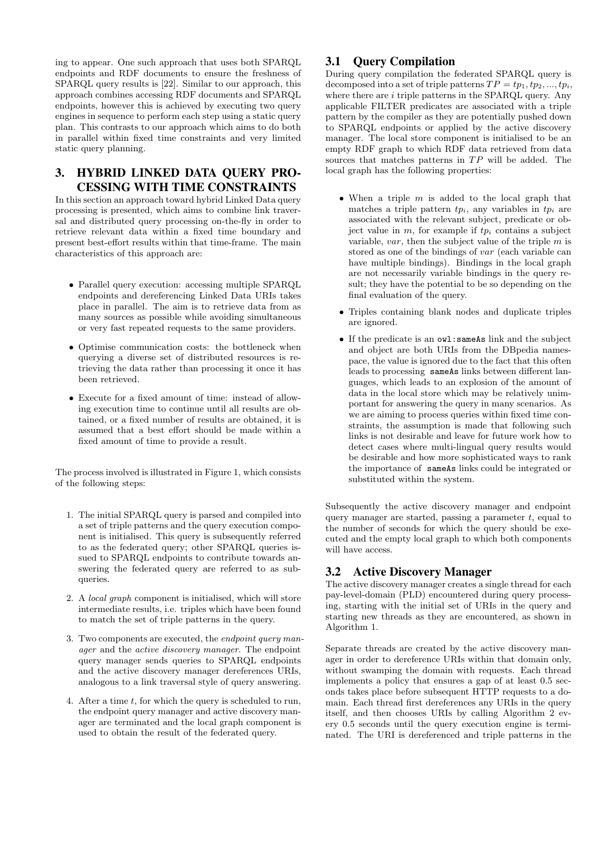ing to appear. One such approach that uses both SPARQL endpoints and RDF documents to ensure the freshness of SPARQL query results is [22]. Similar to our approach, this approach combines accessing RDF documents and SPARQL endpoints, however this is achieved by executing two query engines in sequence to perform each step using a static query plan. This contrasts to our approach which aims to do both in parallel within fixed time constraints and very limited static query planning.

# 3. HYBRID LINKED DATA QUERY PRO-CESSING WITH TIME CONSTRAINTS

In this section an approach toward hybrid Linked Data query processing is presented, which aims to combine link traversal and distributed query processing on-the-fly in order to retrieve relevant data within a fixed time boundary and present best-effort results within that time-frame. The main characteristics of this approach are:

- Parallel query execution: accessing multiple SPARQL endpoints and dereferencing Linked Data URIs takes place in parallel. The aim is to retrieve data from as many sources as possible while avoiding simultaneous or very fast repeated requests to the same providers.
- Optimise communication costs: the bottleneck when querying a diverse set of distributed resources is retrieving the data rather than processing it once it has been retrieved.
- Execute for a fixed amount of time: instead of allowing execution time to continue until all results are obtained, or a fixed number of results are obtained, it is assumed that a best effort should be made within a fixed amount of time to provide a result.

The process involved is illustrated in Figure 1, which consists of the following steps:

- 1. The initial SPARQL query is parsed and compiled into a set of triple patterns and the query execution component is initialised. This query is subsequently referred to as the federated query; other SPARQL queries issued to SPARQL endpoints to contribute towards answering the federated query are referred to as subqueries.
- 2. A local graph component is initialised, which will store intermediate results, i.e. triples which have been found to match the set of triple patterns in the query.
- 3. Two components are executed, the *endpoint query man*ager and the active discovery manager. The endpoint query manager sends queries to SPARQL endpoints and the active discovery manager dereferences URIs, analogous to a link traversal style of query answering.
- 4. After a time t, for which the query is scheduled to run, the endpoint query manager and active discovery manager are terminated and the local graph component is used to obtain the result of the federated query.

# 3.1 Query Compilation

During query compilation the federated SPARQL query is decomposed into a set of triple patterns  $TP = tp_1, tp_2, ..., tp_i$ , where there are  $i$  triple patterns in the SPARQL query. Any applicable FILTER predicates are associated with a triple pattern by the compiler as they are potentially pushed down to SPARQL endpoints or applied by the active discovery manager. The local store component is initialised to be an empty RDF graph to which RDF data retrieved from data sources that matches patterns in  $TP$  will be added. The local graph has the following properties:

- When a triple  $m$  is added to the local graph that matches a triple pattern  $tp_i$ , any variables in  $tp_i$  are associated with the relevant subject, predicate or object value in  $m$ , for example if  $tp_i$  contains a subject variable,  $var$ , then the subject value of the triple  $m$  is stored as one of the bindings of var (each variable can have multiple bindings). Bindings in the local graph are not necessarily variable bindings in the query result; they have the potential to be so depending on the final evaluation of the query.
- Triples containing blank nodes and duplicate triples are ignored.
- If the predicate is an owl:sameAs link and the subject and object are both URIs from the DBpedia namespace, the value is ignored due to the fact that this often leads to processing sameAs links between different languages, which leads to an explosion of the amount of data in the local store which may be relatively unimportant for answering the query in many scenarios. As we are aiming to process queries within fixed time constraints, the assumption is made that following such links is not desirable and leave for future work how to detect cases where multi-lingual query results would be desirable and how more sophisticated ways to rank the importance of sameAs links could be integrated or substituted within the system.

Subsequently the active discovery manager and endpoint query manager are started, passing a parameter  $t$ , equal to the number of seconds for which the query should be executed and the empty local graph to which both components will have access.

# 3.2 Active Discovery Manager

The active discovery manager creates a single thread for each pay-level-domain (PLD) encountered during query processing, starting with the initial set of URIs in the query and starting new threads as they are encountered, as shown in Algorithm 1.

Separate threads are created by the active discovery manager in order to dereference URIs within that domain only, without swamping the domain with requests. Each thread implements a policy that ensures a gap of at least 0.5 seconds takes place before subsequent HTTP requests to a domain. Each thread first dereferences any URIs in the query itself, and then chooses URIs by calling Algorithm 2 every 0.5 seconds until the query execution engine is terminated. The URI is dereferenced and triple patterns in the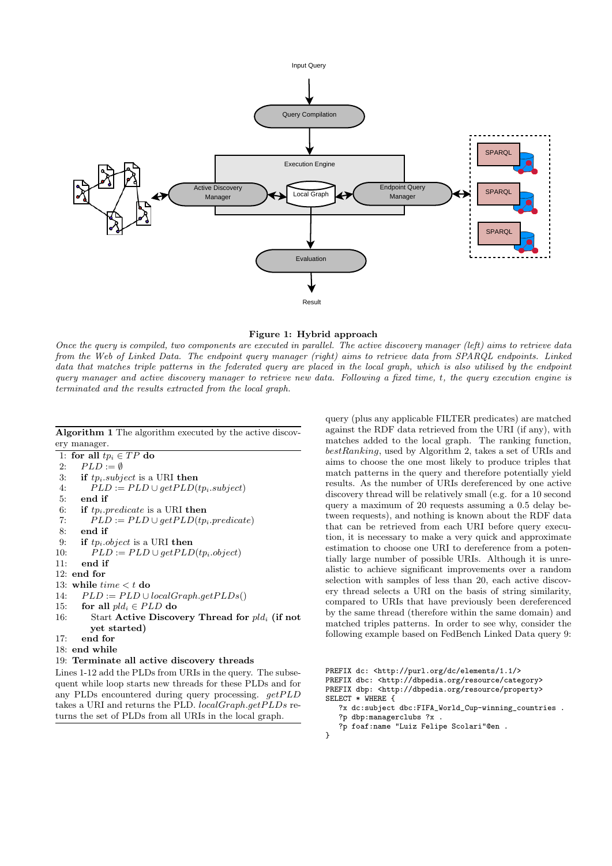

#### Figure 1: Hybrid approach

Once the query is compiled, two components are executed in parallel. The active discovery manager (left) aims to retrieve data from the Web of Linked Data. The endpoint query manager (right) aims to retrieve data from SPARQL endpoints. Linked data that matches triple patterns in the federated query are placed in the local graph, which is also utilised by the endpoint query manager and active discovery manager to retrieve new data. Following a fixed time, t, the query execution engine is terminated and the results extracted from the local graph.

Algorithm 1 The algorithm executed by the active discovery manager.

1: for all  $tp_i \in TP$  do 2:  $PLD := \emptyset$ 3: if  $tp_i.subject$  is a URI then<br>4:  $PLD := PLD \cup getPLD($  $PLD := PLD \cup getPLD(tp_i.subject)$ 5: end if 6: if  $tp_i$ . predicate is a URI then 7:  $PLD := PLD \cup getPLD(tp_i,predicte)$ 8: end if 9: if  $tp_i.object$  is a URI then 10:  $PLD := PLD \cup getPLD(tp_i.object)$ 11: end if 12: end for 13: while  $time < t$  do 14:  $PLD := PLD \cup localGraph.getPLDs()$ 15: for all  $pld_i \in PLD$  do 16: Start Active Discovery Thread for  $pld_i$  (if not yet started) 17: end for 18: end while 19: Terminate all active discovery threads

Lines 1-12 add the PLDs from URIs in the query. The subsequent while loop starts new threads for these PLDs and for any PLDs encountered during query processing.  $getPLD$ takes a URI and returns the PLD.  $localGraph.getPLDs$  returns the set of PLDs from all URIs in the local graph.

query (plus any applicable FILTER predicates) are matched against the RDF data retrieved from the URI (if any), with matches added to the local graph. The ranking function, bestRanking, used by Algorithm 2, takes a set of URIs and aims to choose the one most likely to produce triples that match patterns in the query and therefore potentially yield results. As the number of URIs dereferenced by one active discovery thread will be relatively small (e.g. for a 10 second query a maximum of 20 requests assuming a 0.5 delay between requests), and nothing is known about the RDF data that can be retrieved from each URI before query execution, it is necessary to make a very quick and approximate estimation to choose one URI to dereference from a potentially large number of possible URIs. Although it is unrealistic to achieve significant improvements over a random selection with samples of less than 20, each active discovery thread selects a URI on the basis of string similarity, compared to URIs that have previously been dereferenced by the same thread (therefore within the same domain) and matched triples patterns. In order to see why, consider the following example based on FedBench Linked Data query 9:

```
SELECT * WHERE {
```
- ?x dc:subject dbc:FIFA\_World\_Cup-winning\_countries . ?p dbp:managerclubs ?x .
- ?p foaf:name "Luiz Felipe Scolari"@en .
- }

PREFIX dc: <http://purl.org/dc/elements/1.1/>

PREFIX dbc: <http://dbpedia.org/resource/category> PREFIX dbp: <http://dbpedia.org/resource/property>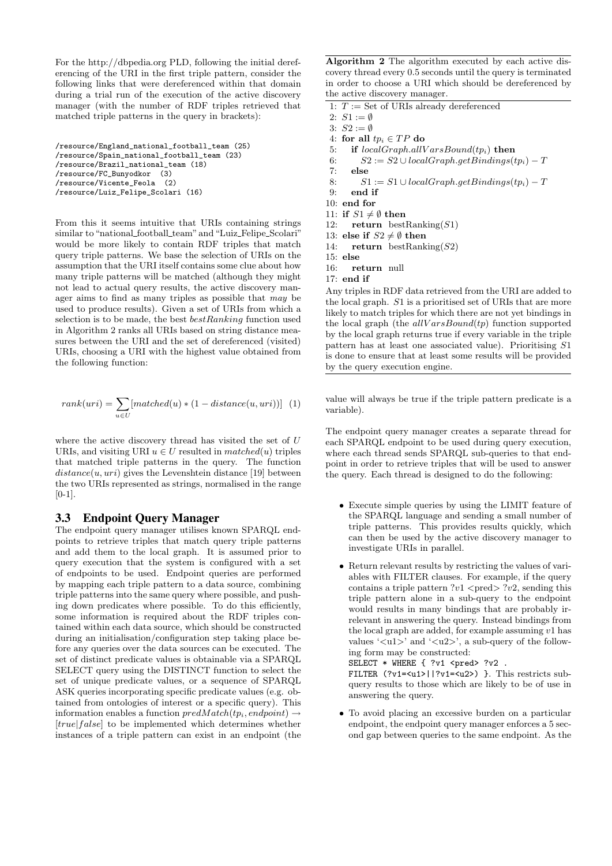For the http://dbpedia.org PLD, following the initial dereferencing of the URI in the first triple pattern, consider the following links that were dereferenced within that domain during a trial run of the execution of the active discovery manager (with the number of RDF triples retrieved that matched triple patterns in the query in brackets):

```
/resource/England_national_football_team (25)
/resource/Spain_national_football_team (23)
/resource/Brazil_national_team (18)
/resource/FC_Bunyodkor (3)
/resource/Vicente_Feola (2)
/resource/Luiz_Felipe_Scolari (16)
```
From this it seems intuitive that URIs containing strings similar to "national football team" and "Luiz Felipe Scolari" would be more likely to contain RDF triples that match query triple patterns. We base the selection of URIs on the assumption that the URI itself contains some clue about how many triple patterns will be matched (although they might not lead to actual query results, the active discovery manager aims to find as many triples as possible that may be used to produce results). Given a set of URIs from which a selection is to be made, the best  $bestRanking$  function used in Algorithm 2 ranks all URIs based on string distance measures between the URI and the set of dereferenced (visited) URIs, choosing a URI with the highest value obtained from the following function:

$$
rank(uri) = \sum_{u \in U} [matched(u) * (1 - distance(u, uri))]
$$
 (1)

where the active discovery thread has visited the set of U URIs, and visiting URI  $u \in U$  resulted in  $matched(u)$  triples that matched triple patterns in the query. The function  $distance(u, uri)$  gives the Levenshtein distance [19] between the two URIs represented as strings, normalised in the range [0-1].

#### 3.3 Endpoint Query Manager

The endpoint query manager utilises known SPARQL endpoints to retrieve triples that match query triple patterns and add them to the local graph. It is assumed prior to query execution that the system is configured with a set of endpoints to be used. Endpoint queries are performed by mapping each triple pattern to a data source, combining triple patterns into the same query where possible, and pushing down predicates where possible. To do this efficiently, some information is required about the RDF triples contained within each data source, which should be constructed during an initialisation/configuration step taking place before any queries over the data sources can be executed. The set of distinct predicate values is obtainable via a SPARQL SELECT query using the DISTINCT function to select the set of unique predicate values, or a sequence of SPARQL ASK queries incorporating specific predicate values (e.g. obtained from ontologies of interest or a specific query). This information enables a function  $predMatch(tp_i, endpoint) \rightarrow$ [true] false] to be implemented which determines whether instances of a triple pattern can exist in an endpoint (the

Algorithm 2 The algorithm executed by each active discovery thread every 0.5 seconds until the query is terminated in order to choose a URI which should be dereferenced by the active discovery manager.

1:  $T :=$  Set of URIs already dereferenced

2:  $S_1 := \emptyset$ 

- 3:  $S2 := \emptyset$
- 4: for all  $tp_i \in TP$  do
- 5: if  $localGraph. allVarsBound(tp_i)$  then
- 6:  $S2 := S2 \cup localGraph.getBinding(tp_i) T$
- 7: else
- 8:  $S1 := S1 \cup localGraph.getBinding(tp_i) T$
- 9: end if
- 10: end for
- 11: if  $S1 \neq \emptyset$  then

12: return bestRanking $(S1)$ 

- 13: else if  $S2 \neq \emptyset$  then
- 14: return bestRanking $(S2)$
- $15:$  else

16: return null

 $17<sub>·</sub>$  end if

Any triples in RDF data retrieved from the URI are added to the local graph. S1 is a prioritised set of URIs that are more likely to match triples for which there are not yet bindings in the local graph (the  $allVarsBound(tp)$  function supported by the local graph returns true if every variable in the triple pattern has at least one associated value). Prioritising S1 is done to ensure that at least some results will be provided by the query execution engine.

value will always be true if the triple pattern predicate is a variable).

The endpoint query manager creates a separate thread for each SPARQL endpoint to be used during query execution, where each thread sends SPARQL sub-queries to that endpoint in order to retrieve triples that will be used to answer the query. Each thread is designed to do the following:

- Execute simple queries by using the LIMIT feature of the SPARQL language and sending a small number of triple patterns. This provides results quickly, which can then be used by the active discovery manager to investigate URIs in parallel.
- Return relevant results by restricting the values of variables with FILTER clauses. For example, if the query contains a triple pattern  $?v1 <$ pred $> ?v2$ , sending this triple pattern alone in a sub-query to the endpoint would results in many bindings that are probably irrelevant in answering the query. Instead bindings from the local graph are added, for example assuming  $v1$  has values  $\langle \text{u1} \rangle$  and  $\langle \text{u2} \rangle$ , a sub-query of the following form may be constructed:

SELECT  $*$  WHERE  $\{ ?v1 <$ pred>  $?v2$ FILTER (?v1=<u1>||?v1=<u2>) }. This restricts subquery results to those which are likely to be of use in answering the query.

• To avoid placing an excessive burden on a particular endpoint, the endpoint query manager enforces a 5 second gap between queries to the same endpoint. As the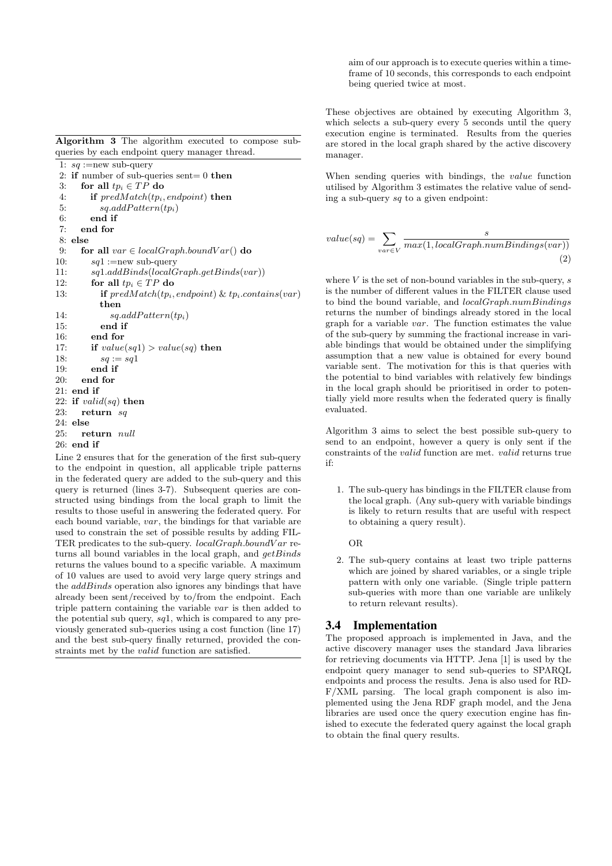Algorithm 3 The algorithm executed to compose subqueries by each endpoint query manager thread.

1:  $sq := new sub-query$ 2: if number of sub-queries sent=  $0$  then 3: for all  $tp_i \in TP$  do 4: if  $predMatch(tp_i, endpoint)$  then 5:  $sq.addPattern(tp_i)$ 6: end if<br> $\frac{1}{7}$  end for end for 8: else 9: for all  $var \in localGraph.boundVar()$  do 10:  $sq1 := new sub-query$ 11: sq1.addBinds(localGraph.getBinds(var)) 12: for all  $tp_i \in TP$  do 13: if  $predMatch(tp_i, endpoint) \& tp_i.contains(var)$ then 14:  $sq.addPattern(tp_i)$ 15: end if 16: end for 17: if  $value(sq1) > value(sq)$  then 18:  $sq := sq1$  $19:$  end if 20: end for  $21:$  end if 22: if  $valid(sq)$  then 23: return sq 24: else<br>25:  $r\epsilon$ return *null* 26: end if Line 2 ensures that for the generation of the first sub-query

to the endpoint in question, all applicable triple patterns in the federated query are added to the sub-query and this query is returned (lines 3-7). Subsequent queries are constructed using bindings from the local graph to limit the results to those useful in answering the federated query. For each bound variable, var, the bindings for that variable are used to constrain the set of possible results by adding FIL-TER predicates to the sub-query.  $localGraph-boundVar$  returns all bound variables in the local graph, and  $qetBinds$ returns the values bound to a specific variable. A maximum of 10 values are used to avoid very large query strings and the *addBinds* operation also ignores any bindings that have already been sent/received by to/from the endpoint. Each triple pattern containing the variable var is then added to the potential sub query, sq1, which is compared to any previously generated sub-queries using a cost function (line 17) and the best sub-query finally returned, provided the constraints met by the valid function are satisfied.

aim of our approach is to execute queries within a timeframe of 10 seconds, this corresponds to each endpoint being queried twice at most.

These objectives are obtained by executing Algorithm 3, which selects a sub-query every 5 seconds until the query execution engine is terminated. Results from the queries are stored in the local graph shared by the active discovery manager.

When sending queries with bindings, the value function utilised by Algorithm 3 estimates the relative value of sending a sub-query sq to a given endpoint:

$$
value(sq) = \sum_{var \in V} \frac{s}{max(1, localGraph.num Bindings(var))}
$$
\n(2)

where  $V$  is the set of non-bound variables in the sub-query, s is the number of different values in the FILTER clause used to bind the bound variable, and *localGraph.numBindings* returns the number of bindings already stored in the local graph for a variable  $var$ . The function estimates the value of the sub-query by summing the fractional increase in variable bindings that would be obtained under the simplifying assumption that a new value is obtained for every bound variable sent. The motivation for this is that queries with the potential to bind variables with relatively few bindings in the local graph should be prioritised in order to potentially yield more results when the federated query is finally evaluated.

Algorithm 3 aims to select the best possible sub-query to send to an endpoint, however a query is only sent if the constraints of the valid function are met. valid returns true if:

1. The sub-query has bindings in the FILTER clause from the local graph. (Any sub-query with variable bindings is likely to return results that are useful with respect to obtaining a query result).

OR

2. The sub-query contains at least two triple patterns which are joined by shared variables, or a single triple pattern with only one variable. (Single triple pattern sub-queries with more than one variable are unlikely to return relevant results).

### 3.4 Implementation

The proposed approach is implemented in Java, and the active discovery manager uses the standard Java libraries for retrieving documents via HTTP. Jena [1] is used by the endpoint query manager to send sub-queries to SPARQL endpoints and process the results. Jena is also used for RD-F/XML parsing. The local graph component is also implemented using the Jena RDF graph model, and the Jena libraries are used once the query execution engine has finished to execute the federated query against the local graph to obtain the final query results.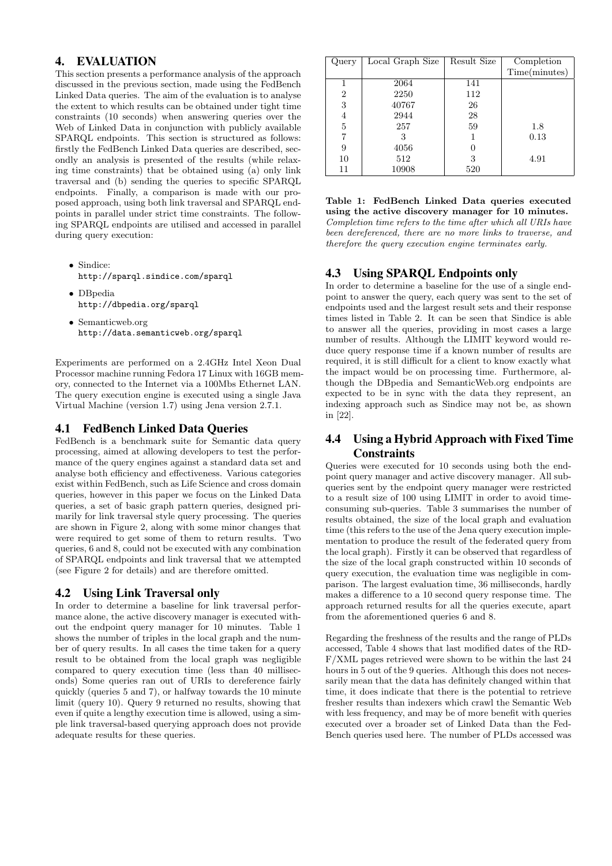# 4. EVALUATION

This section presents a performance analysis of the approach discussed in the previous section, made using the FedBench Linked Data queries. The aim of the evaluation is to analyse the extent to which results can be obtained under tight time constraints (10 seconds) when answering queries over the Web of Linked Data in conjunction with publicly available SPARQL endpoints. This section is structured as follows: firstly the FedBench Linked Data queries are described, secondly an analysis is presented of the results (while relaxing time constraints) that be obtained using (a) only link traversal and (b) sending the queries to specific SPARQL endpoints. Finally, a comparison is made with our proposed approach, using both link traversal and SPARQL endpoints in parallel under strict time constraints. The following SPARQL endpoints are utilised and accessed in parallel during query execution:

- Sindice: http://sparql.sindice.com/sparql
- DBpedia http://dbpedia.org/sparql
- Semanticweb.org http://data.semanticweb.org/sparql

Experiments are performed on a 2.4GHz Intel Xeon Dual Processor machine running Fedora 17 Linux with 16GB memory, connected to the Internet via a 100Mbs Ethernet LAN. The query execution engine is executed using a single Java Virtual Machine (version 1.7) using Jena version 2.7.1.

### 4.1 FedBench Linked Data Queries

FedBench is a benchmark suite for Semantic data query processing, aimed at allowing developers to test the performance of the query engines against a standard data set and analyse both efficiency and effectiveness. Various categories exist within FedBench, such as Life Science and cross domain queries, however in this paper we focus on the Linked Data queries, a set of basic graph pattern queries, designed primarily for link traversal style query processing. The queries are shown in Figure 2, along with some minor changes that were required to get some of them to return results. Two queries, 6 and 8, could not be executed with any combination of SPARQL endpoints and link traversal that we attempted (see Figure 2 for details) and are therefore omitted.

# 4.2 Using Link Traversal only

In order to determine a baseline for link traversal performance alone, the active discovery manager is executed without the endpoint query manager for 10 minutes. Table 1 shows the number of triples in the local graph and the number of query results. In all cases the time taken for a query result to be obtained from the local graph was negligible compared to query execution time (less than 40 milliseconds) Some queries ran out of URIs to dereference fairly quickly (queries 5 and 7), or halfway towards the 10 minute limit (query 10). Query 9 returned no results, showing that even if quite a lengthy execution time is allowed, using a simple link traversal-based querying approach does not provide adequate results for these queries.

| Query          | Local Graph Size | Result Size | Completion    |
|----------------|------------------|-------------|---------------|
|                |                  |             | Time(minutes) |
|                | 2064             | 141         |               |
| $\overline{2}$ | 2250             | 112         |               |
| 3              | 40767            | 26          |               |
| 4              | 2944             | 28          |               |
| 5              | 257              | 59          | 1.8           |
|                |                  |             | 0.13          |
| 9              | 4056             |             |               |
| 10             | 512              | 3           | 4.91          |
| 11             | 10908            | 520         |               |

Table 1: FedBench Linked Data queries executed using the active discovery manager for 10 minutes. Completion time refers to the time after which all URIs have been dereferenced, there are no more links to traverse, and therefore the query execution engine terminates early.

# 4.3 Using SPARQL Endpoints only

In order to determine a baseline for the use of a single endpoint to answer the query, each query was sent to the set of endpoints used and the largest result sets and their response times listed in Table 2. It can be seen that Sindice is able to answer all the queries, providing in most cases a large number of results. Although the LIMIT keyword would reduce query response time if a known number of results are required, it is still difficult for a client to know exactly what the impact would be on processing time. Furthermore, although the DBpedia and SemanticWeb.org endpoints are expected to be in sync with the data they represent, an indexing approach such as Sindice may not be, as shown in [22].

# 4.4 Using a Hybrid Approach with Fixed Time **Constraints**

Queries were executed for 10 seconds using both the endpoint query manager and active discovery manager. All subqueries sent by the endpoint query manager were restricted to a result size of 100 using LIMIT in order to avoid timeconsuming sub-queries. Table 3 summarises the number of results obtained, the size of the local graph and evaluation time (this refers to the use of the Jena query execution implementation to produce the result of the federated query from the local graph). Firstly it can be observed that regardless of the size of the local graph constructed within 10 seconds of query execution, the evaluation time was negligible in comparison. The largest evaluation time, 36 milliseconds, hardly makes a difference to a 10 second query response time. The approach returned results for all the queries execute, apart from the aforementioned queries 6 and 8.

Regarding the freshness of the results and the range of PLDs accessed, Table 4 shows that last modified dates of the RD-F/XML pages retrieved were shown to be within the last 24 hours in 5 out of the 9 queries. Although this does not necessarily mean that the data has definitely changed within that time, it does indicate that there is the potential to retrieve fresher results than indexers which crawl the Semantic Web with less frequency, and may be of more benefit with queries executed over a broader set of Linked Data than the Fed-Bench queries used here. The number of PLDs accessed was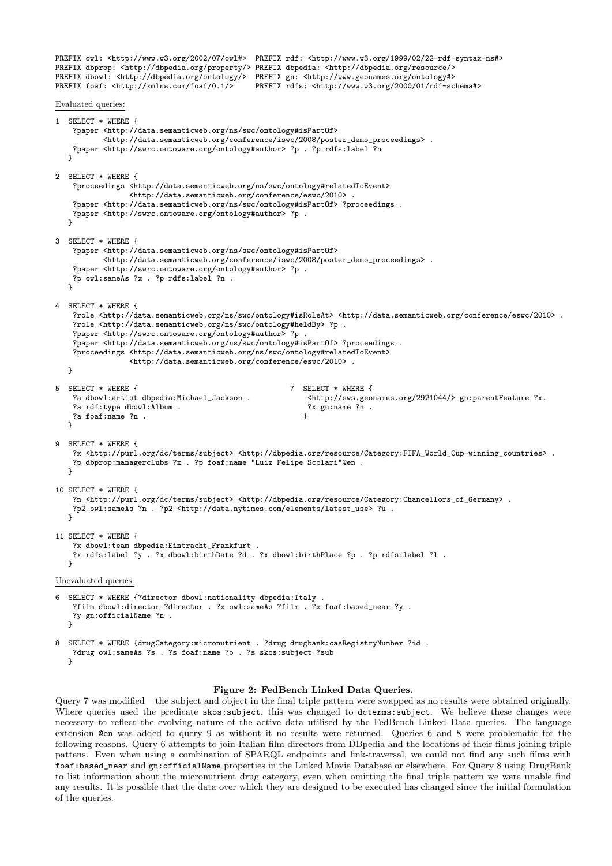PREFIX owl: <http://www.w3.org/2002/07/owl#> PREFIX rdf: <http://www.w3.org/1999/02/22-rdf-syntax-ns#> PREFIX dbprop: <http://dbpedia.org/property/> PREFIX dbpedia: <http://dbpedia.org/resource/> PREFIX dbowl: <http://dbpedia.org/ontology/> PREFIX gn: <http://www.geonames.org/ontology#><br>PREFIX foaf: <http://xmlns.com/foaf/0.1/> PREFIX rdfs: <http://www.w3.org/2000/01/rdf-sc PREFIX rdfs: <http://www.w3.org/2000/01/rdf-schema#> Evaluated queries: 1 SELECT \* WHERE { ?paper <http://data.semanticweb.org/ns/swc/ontology#isPartOf> <http://data.semanticweb.org/conference/iswc/2008/poster\_demo\_proceedings> . ?paper <http://swrc.ontoware.org/ontology#author> ?p . ?p rdfs:label ?n } 2 SELECT \* WHERE { ?proceedings <http://data.semanticweb.org/ns/swc/ontology#relatedToEvent> <http://data.semanticweb.org/conference/eswc/2010> . ?paper <http://data.semanticweb.org/ns/swc/ontology#isPartOf> ?proceedings . ?paper <http://swrc.ontoware.org/ontology#author> ?p .  $\mathbf{r}$ 3 SELECT \* WHERE { ?paper <http://data.semanticweb.org/ns/swc/ontology#isPartOf> <http://data.semanticweb.org/conference/iswc/2008/poster\_demo\_proceedings> . ?paper <http://swrc.ontoware.org/ontology#author> ?p . ?p owl:sameAs ?x . ?p rdfs:label ?n . } 4 SELECT \* WHERE { ?role <http://data.semanticweb.org/ns/swc/ontology#isRoleAt> <http://data.semanticweb.org/conference/eswc/2010> . ?role <http://data.semanticweb.org/ns/swc/ontology#heldBy> ?p . ?paper <http://swrc.ontoware.org/ontology#author> ?p . ?paper <http://data.semanticweb.org/ns/swc/ontology#isPartOf> ?proceedings . ?proceedings <http://data.semanticweb.org/ns/swc/ontology#relatedToEvent> <http://data.semanticweb.org/conference/eswc/2010> . } 5 SELECT \* WHERE { 7 SELECT \* WHERE { 7 3 dbowl:artist dbpedia:Michael\_Jackson .  $\text{7}$  3 <http://sws.geo <http://sws.geonames.org/2921044/> gn:parentFeature ?x. ?a rdf:type dbowl:Album . <br>
?a footiname ?n . <br>
?a footiname ?n . <br>
? ?a foaf:name ?n . }  $\mathbf{r}$ 9 SELECT \* WHERE { ?x <http://purl.org/dc/terms/subject> <http://dbpedia.org/resource/Category:FIFA\_World\_Cup-winning\_countries> . ?p dbprop:managerclubs ?x . ?p foaf:name "Luiz Felipe Scolari"@en .  $\mathbf{I}$ 10 SELECT \* WHERE { ?n <http://purl.org/dc/terms/subject> <http://dbpedia.org/resource/Category:Chancellors\_of\_Germany> . ?p2 owl:sameAs ?n . ?p2 <http://data.nytimes.com/elements/latest\_use> ?u . } 11 SELECT \* WHERE { ?x dbowl:team dbpedia:Eintracht\_Frankfurt . ?x rdfs:label ?y . ?x dbowl:birthDate ?d . ?x dbowl:birthPlace ?p . ?p rdfs:label ?l .  $\mathbf{a}$ Unevaluated queries: 6 SELECT \* WHERE {?director dbowl:nationality dbpedia:Italy . ?film dbowl:director ?director . ?x owl:sameAs ?film . ?x foaf:based\_near ?y . ?y gn:officialName ?n . } 8 SELECT \* WHERE {drugCategory:micronutrient . ?drug drugbank:casRegistryNumber ?id .

?drug owl:sameAs ?s . ?s foaf:name ?o . ?s skos:subject ?sub }

#### Figure 2: FedBench Linked Data Queries.

Query 7 was modified – the subject and object in the final triple pattern were swapped as no results were obtained originally. Where queries used the predicate skos: subject, this was changed to dcterms: subject. We believe these changes were necessary to reflect the evolving nature of the active data utilised by the FedBench Linked Data queries. The language extension @en was added to query 9 as without it no results were returned. Queries 6 and 8 were problematic for the following reasons. Query 6 attempts to join Italian film directors from DBpedia and the locations of their films joining triple pattens. Even when using a combination of SPARQL endpoints and link-traversal, we could not find any such films with foaf:based\_near and gn:officialName properties in the Linked Movie Database or elsewhere. For Query 8 using DrugBank to list information about the micronutrient drug category, even when omitting the final triple pattern we were unable find any results. It is possible that the data over which they are designed to be executed has changed since the initial formulation of the queries.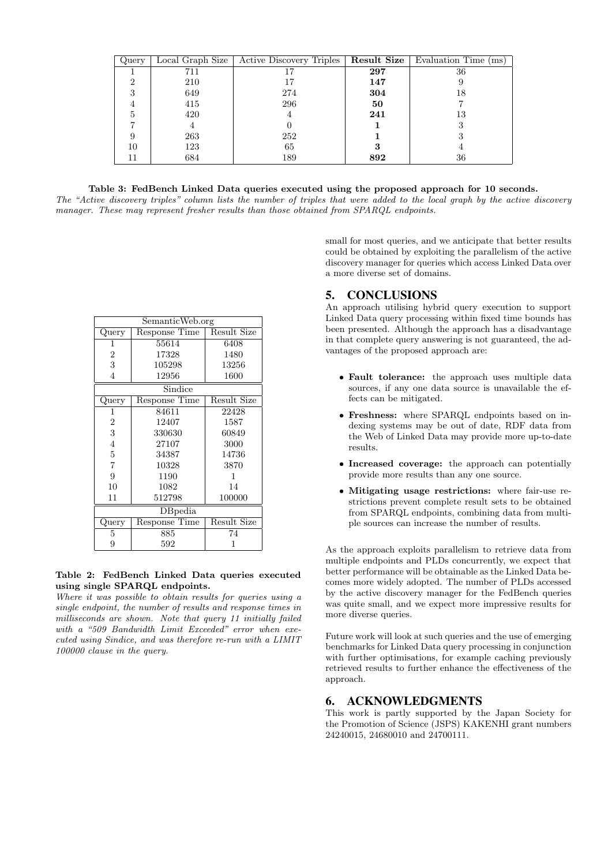| Query |     | Local Graph Size   Active Discovery Triples |     | <b>Result Size</b> Evaluation Time (ms) |
|-------|-----|---------------------------------------------|-----|-----------------------------------------|
|       | 711 |                                             | 297 | 36                                      |
|       | 210 |                                             | 147 |                                         |
|       | 649 | 274                                         | 304 | 18                                      |
|       | 415 | 296                                         | 50  |                                         |
| b.    | 420 |                                             | 241 | 13                                      |
|       |     |                                             |     |                                         |
|       | 263 | 252                                         |     |                                         |
| 10    | 123 | 65                                          |     |                                         |
|       | 684 | 189                                         | 892 | 36                                      |

#### Table 3: FedBench Linked Data queries executed using the proposed approach for 10 seconds.

The "Active discovery triples" column lists the number of triples that were added to the local graph by the active discovery manager. These may represent fresher results than those obtained from SPARQL endpoints.

| SemanticWeb.org |               |             |  |  |
|-----------------|---------------|-------------|--|--|
| Query           | Response Time | Result Size |  |  |
| 1               | 55614         | 6408        |  |  |
| 2               | 17328         | 1480        |  |  |
| 3               | 105298        | 13256       |  |  |
| 4<br>12956      |               | 1600        |  |  |
| Sindice         |               |             |  |  |
| Query           | Response Time | Result Size |  |  |
| 1               | 84611         | 22428       |  |  |
| 2               | 12407         | 1587        |  |  |
| 3               | 330630        | 60849       |  |  |
| $\overline{4}$  | 27107         | 3000        |  |  |
| 5               | 34387         | 14736       |  |  |
| $\overline{7}$  | 10328         | 3870        |  |  |
| 9<br>1190       |               | 1           |  |  |
| 10<br>1082      |               | 14          |  |  |
| 11              | 512798        | 100000      |  |  |
| DBpedia         |               |             |  |  |
| Query           | Response Time | Result Size |  |  |
| 5               | 885           | 74          |  |  |
| 9               | 592           |             |  |  |

#### Table 2: FedBench Linked Data queries executed using single SPARQL endpoints.

Where it was possible to obtain results for queries using a single endpoint, the number of results and response times in milliseconds are shown. Note that query 11 initially failed with a "509 Bandwidth Limit Exceeded" error when executed using Sindice, and was therefore re-run with a LIMIT 100000 clause in the query.

small for most queries, and we anticipate that better results could be obtained by exploiting the parallelism of the active discovery manager for queries which access Linked Data over a more diverse set of domains.

### 5. CONCLUSIONS

An approach utilising hybrid query execution to support Linked Data query processing within fixed time bounds has been presented. Although the approach has a disadvantage in that complete query answering is not guaranteed, the advantages of the proposed approach are:

- Fault tolerance: the approach uses multiple data sources, if any one data source is unavailable the effects can be mitigated.
- Freshness: where SPARQL endpoints based on indexing systems may be out of date, RDF data from the Web of Linked Data may provide more up-to-date results.
- Increased coverage: the approach can potentially provide more results than any one source.
- Mitigating usage restrictions: where fair-use restrictions prevent complete result sets to be obtained from SPARQL endpoints, combining data from multiple sources can increase the number of results.

As the approach exploits parallelism to retrieve data from multiple endpoints and PLDs concurrently, we expect that better performance will be obtainable as the Linked Data becomes more widely adopted. The number of PLDs accessed by the active discovery manager for the FedBench queries was quite small, and we expect more impressive results for more diverse queries.

Future work will look at such queries and the use of emerging benchmarks for Linked Data query processing in conjunction with further optimisations, for example caching previously retrieved results to further enhance the effectiveness of the approach.

### 6. ACKNOWLEDGMENTS

This work is partly supported by the Japan Society for the Promotion of Science (JSPS) KAKENHI grant numbers 24240015, 24680010 and 24700111.